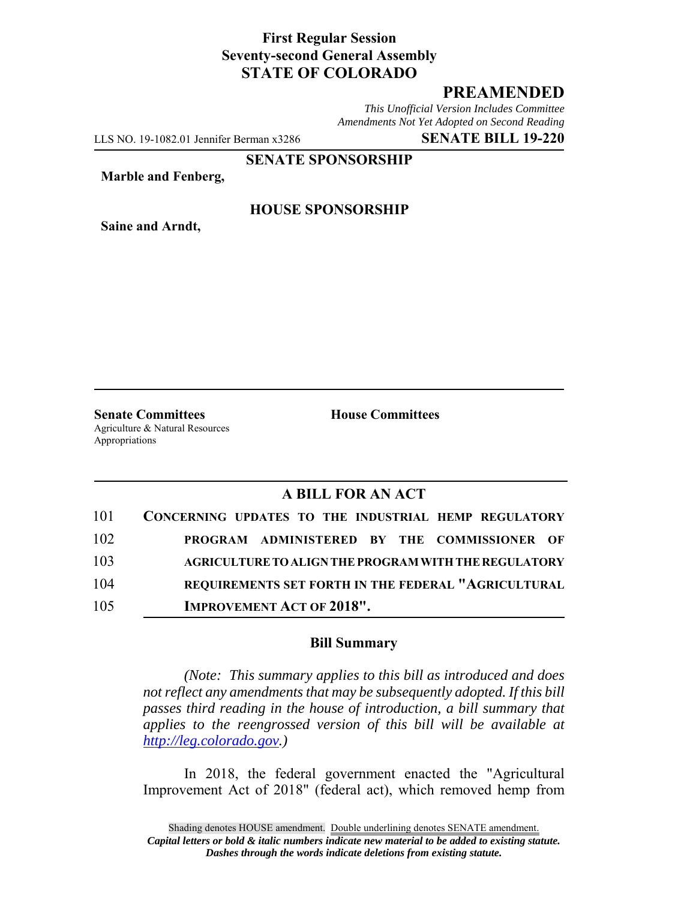### **First Regular Session Seventy-second General Assembly STATE OF COLORADO**

# **PREAMENDED**

*This Unofficial Version Includes Committee Amendments Not Yet Adopted on Second Reading*

LLS NO. 19-1082.01 Jennifer Berman x3286 **SENATE BILL 19-220**

**SENATE SPONSORSHIP**

**Marble and Fenberg,**

**Saine and Arndt,**

#### **HOUSE SPONSORSHIP**

**Senate Committees House Committees** Agriculture & Natural Resources Appropriations

## **A BILL FOR AN ACT**

| 101 | CONCERNING UPDATES TO THE INDUSTRIAL HEMP REGULATORY        |
|-----|-------------------------------------------------------------|
| 102 | PROGRAM ADMINISTERED BY THE COMMISSIONER OF                 |
| 103 | <b>AGRICULTURE TO ALIGN THE PROGRAM WITH THE REGULATORY</b> |
| 104 | REOUIREMENTS SET FORTH IN THE FEDERAL "AGRICULTURAL         |
| 105 | <b>IMPROVEMENT ACT OF 2018".</b>                            |

### **Bill Summary**

*(Note: This summary applies to this bill as introduced and does not reflect any amendments that may be subsequently adopted. If this bill passes third reading in the house of introduction, a bill summary that applies to the reengrossed version of this bill will be available at http://leg.colorado.gov.)*

In 2018, the federal government enacted the "Agricultural Improvement Act of 2018" (federal act), which removed hemp from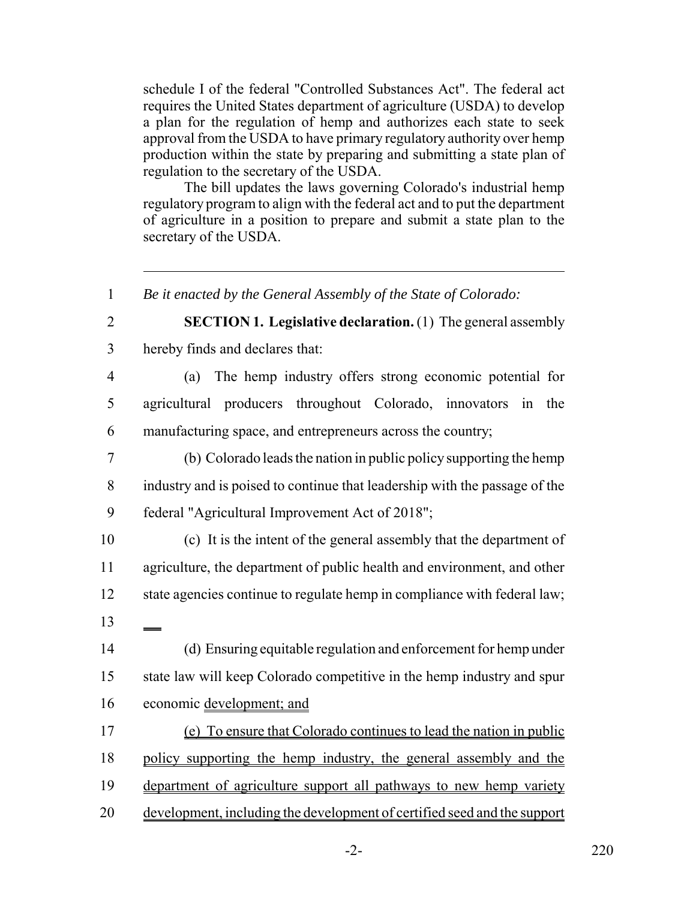schedule I of the federal "Controlled Substances Act". The federal act requires the United States department of agriculture (USDA) to develop a plan for the regulation of hemp and authorizes each state to seek approval from the USDA to have primary regulatory authority over hemp production within the state by preparing and submitting a state plan of regulation to the secretary of the USDA.

The bill updates the laws governing Colorado's industrial hemp regulatory program to align with the federal act and to put the department of agriculture in a position to prepare and submit a state plan to the secretary of the USDA.

 *Be it enacted by the General Assembly of the State of Colorado:* **SECTION 1. Legislative declaration.** (1) The general assembly hereby finds and declares that: (a) The hemp industry offers strong economic potential for agricultural producers throughout Colorado, innovators in the manufacturing space, and entrepreneurs across the country; (b) Colorado leads the nation in public policy supporting the hemp industry and is poised to continue that leadership with the passage of the federal "Agricultural Improvement Act of 2018"; (c) It is the intent of the general assembly that the department of agriculture, the department of public health and environment, and other state agencies continue to regulate hemp in compliance with federal law; (d) Ensuring equitable regulation and enforcement for hemp under state law will keep Colorado competitive in the hemp industry and spur economic development; and (e) To ensure that Colorado continues to lead the nation in public policy supporting the hemp industry, the general assembly and the department of agriculture support all pathways to new hemp variety development, including the development of certified seed and the support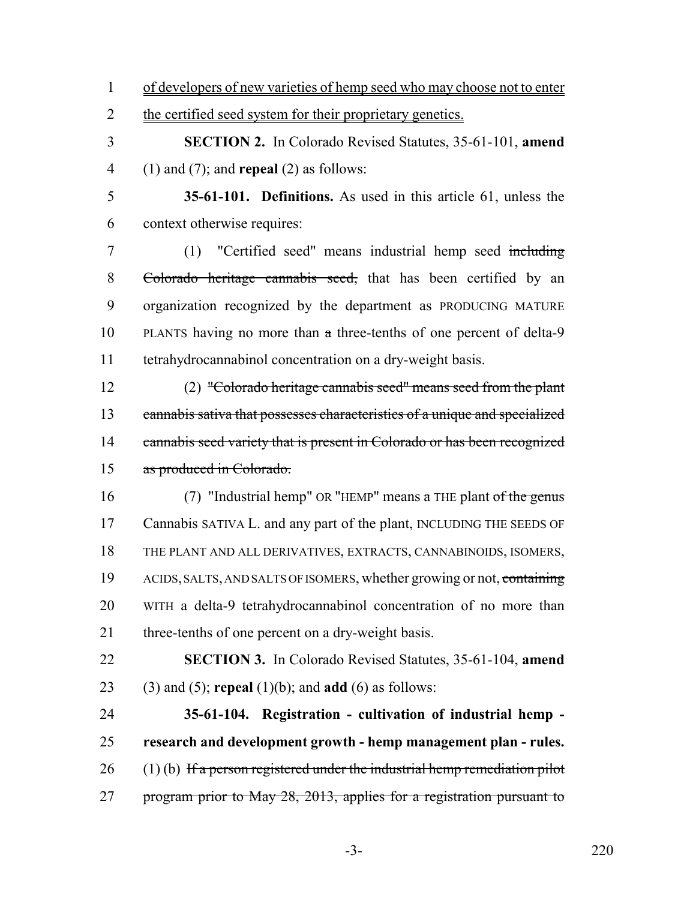- 1 of developers of new varieties of hemp seed who may choose not to enter
- the certified seed system for their proprietary genetics.
- **SECTION 2.** In Colorado Revised Statutes, 35-61-101, **amend** (1) and (7); and **repeal** (2) as follows:
- 

 **35-61-101. Definitions.** As used in this article 61, unless the context otherwise requires:

 (1) "Certified seed" means industrial hemp seed including 8 Colorado heritage cannabis seed, that has been certified by an organization recognized by the department as PRODUCING MATURE PLANTS having no more than a three-tenths of one percent of delta-9 tetrahydrocannabinol concentration on a dry-weight basis.

 (2) "Colorado heritage cannabis seed" means seed from the plant cannabis sativa that possesses characteristics of a unique and specialized 14 cannabis seed variety that is present in Colorado or has been recognized as produced in Colorado.

16 (7) "Industrial hemp" OR "HEMP" means  $\alpha$  THE plant of the genus Cannabis SATIVA L. and any part of the plant, INCLUDING THE SEEDS OF THE PLANT AND ALL DERIVATIVES, EXTRACTS, CANNABINOIDS, ISOMERS, ACIDS, SALTS, AND SALTS OF ISOMERS, whether growing or not, containing WITH a delta-9 tetrahydrocannabinol concentration of no more than three-tenths of one percent on a dry-weight basis.

 **SECTION 3.** In Colorado Revised Statutes, 35-61-104, **amend** (3) and (5); **repeal** (1)(b); and **add** (6) as follows:

 **35-61-104. Registration - cultivation of industrial hemp - research and development growth - hemp management plan - rules.** (1) (b) If a person registered under the industrial hemp remediation pilot program prior to May 28, 2013, applies for a registration pursuant to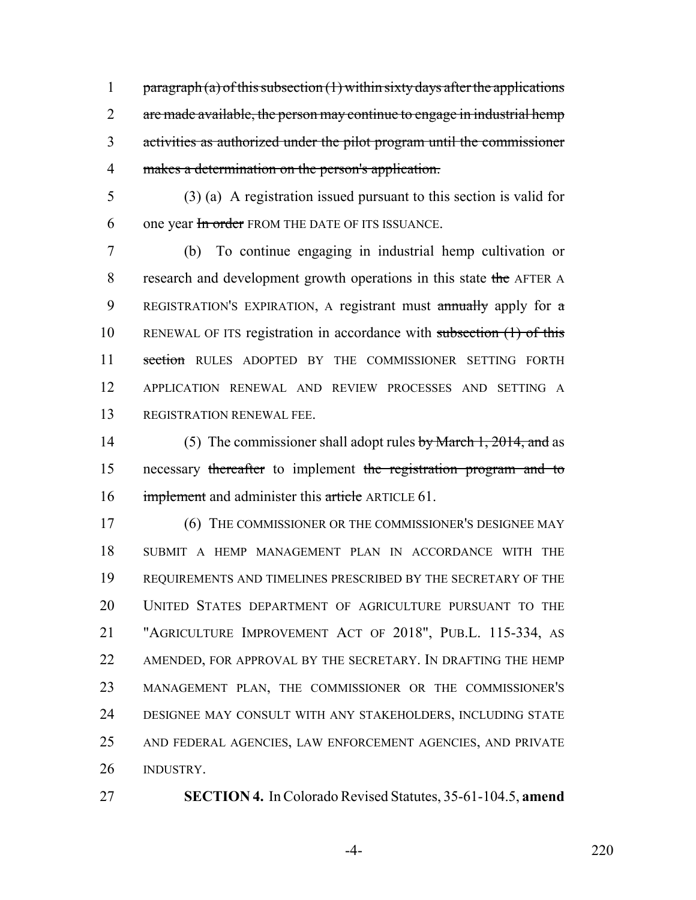1 paragraph (a) of this subsection  $(1)$  within sixty days after the applications 2 are made available, the person may continue to engage in industrial hemp activities as authorized under the pilot program until the commissioner makes a determination on the person's application.

 (3) (a) A registration issued pursuant to this section is valid for 6 one year In order FROM THE DATE OF ITS ISSUANCE.

 (b) To continue engaging in industrial hemp cultivation or 8 research and development growth operations in this state the AFTER A 9 REGISTRATION'S EXPIRATION, A registrant must annually apply for a 10 RENEWAL OF ITS registration in accordance with subsection (1) of this **section** RULES ADOPTED BY THE COMMISSIONER SETTING FORTH APPLICATION RENEWAL AND REVIEW PROCESSES AND SETTING A REGISTRATION RENEWAL FEE.

14 (5) The commissioner shall adopt rules by March 1, 2014, and as 15 necessary thereafter to implement the registration program and to 16 implement and administer this article ARTICLE 61.

 (6) THE COMMISSIONER OR THE COMMISSIONER'S DESIGNEE MAY SUBMIT A HEMP MANAGEMENT PLAN IN ACCORDANCE WITH THE REQUIREMENTS AND TIMELINES PRESCRIBED BY THE SECRETARY OF THE UNITED STATES DEPARTMENT OF AGRICULTURE PURSUANT TO THE "AGRICULTURE IMPROVEMENT ACT OF 2018", PUB.L. 115-334, AS AMENDED, FOR APPROVAL BY THE SECRETARY. IN DRAFTING THE HEMP MANAGEMENT PLAN, THE COMMISSIONER OR THE COMMISSIONER'S DESIGNEE MAY CONSULT WITH ANY STAKEHOLDERS, INCLUDING STATE AND FEDERAL AGENCIES, LAW ENFORCEMENT AGENCIES, AND PRIVATE INDUSTRY.

**SECTION 4.** In Colorado Revised Statutes, 35-61-104.5, **amend**

-4- 220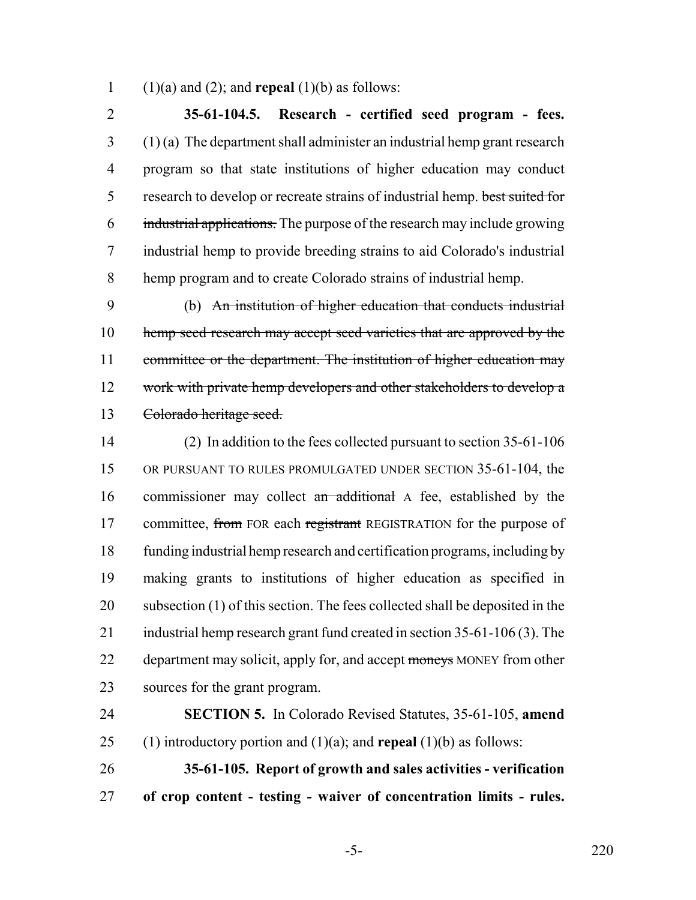1 (1)(a) and (2); and **repeal** (1)(b) as follows:

 **35-61-104.5. Research - certified seed program - fees.** (1) (a) The department shall administer an industrial hemp grant research program so that state institutions of higher education may conduct 5 research to develop or recreate strains of industrial hemp. best suited for industrial applications. The purpose of the research may include growing industrial hemp to provide breeding strains to aid Colorado's industrial hemp program and to create Colorado strains of industrial hemp.

 (b) An institution of higher education that conducts industrial 10 hemp seed research may accept seed varieties that are approved by the 11 committee or the department. The institution of higher education may 12 work with private hemp developers and other stakeholders to develop a Colorado heritage seed.

 (2) In addition to the fees collected pursuant to section 35-61-106 OR PURSUANT TO RULES PROMULGATED UNDER SECTION 35-61-104, the commissioner may collect an additional A fee, established by the 17 committee, from FOR each registrant REGISTRATION for the purpose of funding industrial hemp research and certification programs, including by making grants to institutions of higher education as specified in subsection (1) of this section. The fees collected shall be deposited in the industrial hemp research grant fund created in section 35-61-106 (3). The 22 department may solicit, apply for, and accept moneys MONEY from other sources for the grant program.

 **SECTION 5.** In Colorado Revised Statutes, 35-61-105, **amend** (1) introductory portion and (1)(a); and **repeal** (1)(b) as follows:

 **35-61-105. Report of growth and sales activities - verification of crop content - testing - waiver of concentration limits - rules.**